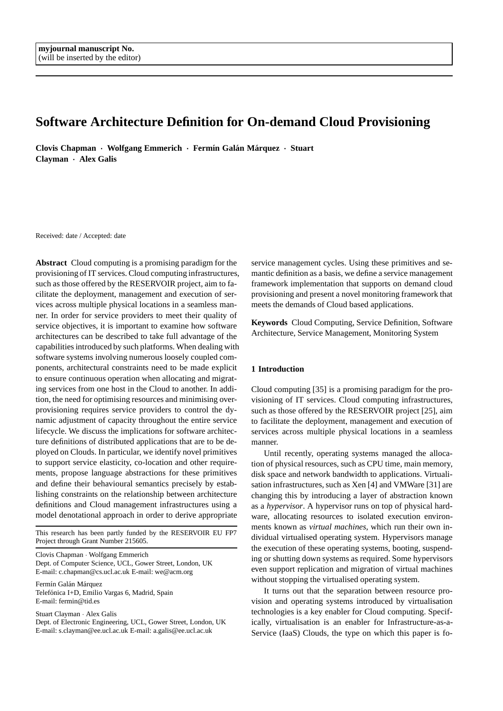# **Software Architecture Definition for On-demand Cloud Provisioning**

**Clovis Chapman** · **Wolfgang Emmerich** · **Ferm´ın Galan M ´ arquez ´** · **Stuart Clayman** · **Alex Galis**

Received: date / Accepted: date

**Abstract** Cloud computing is a promising paradigm for the provisioning of IT services. Cloud computing infrastructures, such as those offered by the RESERVOIR project, aim to facilitate the deployment, management and execution of services across multiple physical locations in a seamless manner. In order for service providers to meet their quality of service objectives, it is important to examine how software architectures can be described to take full advantage of the capabilities introduced by such platforms. When dealing with software systems involving numerous loosely coupled components, architectural constraints need to be made explicit to ensure continuous operation when allocating and migrating services from one host in the Cloud to another. In addition, the need for optimising resources and minimising overprovisioning requires service providers to control the dynamic adjustment of capacity throughout the entire service lifecycle. We discuss the implications for software architecture definitions of distributed applications that are to be deployed on Clouds. In particular, we identify novel primitives to support service elasticity, co-location and other requirements, propose language abstractions for these primitives and define their behavioural semantics precisely by establishing constraints on the relationship between architecture definitions and Cloud management infrastructures using a model denotational approach in order to derive appropriate

This research has been partly funded by the RESERVOIR EU FP7 Project through Grant Number 215605.

Clovis Chapman · Wolfgang Emmerich Dept. of Computer Science, UCL, Gower Street, London, UK E-mail: c.chapman@cs.ucl.ac.uk E-mail: we@acm.org

Fermín Galán Márquez Telefónica I+D, Emilio Vargas 6, Madrid, Spain E-mail: fermin@tid.es

Stuart Clayman · Alex Galis Dept. of Electronic Engineering, UCL, Gower Street, London, UK E-mail: s.clayman@ee.ucl.ac.uk E-mail: a.galis@ee.ucl.ac.uk

service management cycles. Using these primitives and semantic definition as a basis, we define a service management framework implementation that supports on demand cloud provisioning and present a novel monitoring framework that meets the demands of Cloud based applications.

**Keywords** Cloud Computing, Service Definition, Software Architecture, Service Management, Monitoring System

# **1 Introduction**

Cloud computing [35] is a promising paradigm for the provisioning of IT services. Cloud computing infrastructures, such as those offered by the RESERVOIR project [25], aim to facilitate the deployment, management and execution of services across multiple physical locations in a seamless manner.

Until recently, operating systems managed the allocation of physical resources, such as CPU time, main memory, disk space and network bandwidth to applications. Virtualisation infrastructures, such as Xen [4] and VMWare [31] are changing this by introducing a layer of abstraction known as a *hypervisor*. A hypervisor runs on top of physical hardware, allocating resources to isolated execution environments known as *virtual machines*, which run their own individual virtualised operating system. Hypervisors manage the execution of these operating systems, booting, suspending or shutting down systems as required. Some hypervisors even support replication and migration of virtual machines without stopping the virtualised operating system.

It turns out that the separation between resource provision and operating systems introduced by virtualisation technologies is a key enabler for Cloud computing. Specifically, virtualisation is an enabler for Infrastructure-as-a-Service (IaaS) Clouds, the type on which this paper is fo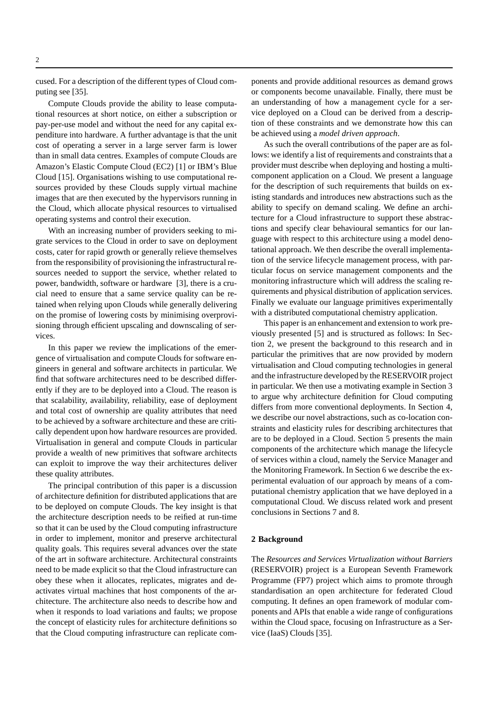cused. For a description of the different types of Cloud computing see [35].

Compute Clouds provide the ability to lease computational resources at short notice, on either a subscription or pay-per-use model and without the need for any capital expenditure into hardware. A further advantage is that the unit cost of operating a server in a large server farm is lower than in small data centres. Examples of compute Clouds are Amazon's Elastic Compute Cloud (EC2) [1] or IBM's Blue Cloud [15]. Organisations wishing to use computational resources provided by these Clouds supply virtual machine images that are then executed by the hypervisors running in the Cloud, which allocate physical resources to virtualised operating systems and control their execution.

With an increasing number of providers seeking to migrate services to the Cloud in order to save on deployment costs, cater for rapid growth or generally relieve themselves from the responsibility of provisioning the infrastructural resources needed to support the service, whether related to power, bandwidth, software or hardware [3], there is a crucial need to ensure that a same service quality can be retained when relying upon Clouds while generally delivering on the promise of lowering costs by minimising overprovisioning through efficient upscaling and downscaling of services.

In this paper we review the implications of the emergence of virtualisation and compute Clouds for software engineers in general and software architects in particular. We find that software architectures need to be described differently if they are to be deployed into a Cloud. The reason is that scalability, availability, reliability, ease of deployment and total cost of ownership are quality attributes that need to be achieved by a software architecture and these are critically dependent upon how hardware resources are provided. Virtualisation in general and compute Clouds in particular provide a wealth of new primitives that software architects can exploit to improve the way their architectures deliver these quality attributes.

The principal contribution of this paper is a discussion of architecture definition for distributed applications that are to be deployed on compute Clouds. The key insight is that the architecture description needs to be reified at run-time so that it can be used by the Cloud computing infrastructure in order to implement, monitor and preserve architectural quality goals. This requires several advances over the state of the art in software architecture. Architectural constraints need to be made explicit so that the Cloud infrastructure can obey these when it allocates, replicates, migrates and deactivates virtual machines that host components of the architecture. The architecture also needs to describe how and when it responds to load variations and faults; we propose the concept of elasticity rules for architecture definitions so that the Cloud computing infrastructure can replicate components and provide additional resources as demand grows or components become unavailable. Finally, there must be an understanding of how a management cycle for a service deployed on a Cloud can be derived from a description of these constraints and we demonstrate how this can be achieved using a *model driven approach*.

As such the overall contributions of the paper are as follows: we identify a list of requirements and constraints that a provider must describe when deploying and hosting a multicomponent application on a Cloud. We present a language for the description of such requirements that builds on existing standards and introduces new abstractions such as the ability to specify on demand scaling. We define an architecture for a Cloud infrastructure to support these abstractions and specify clear behavioural semantics for our language with respect to this architecture using a model denotational approach. We then describe the overall implementation of the service lifecycle management process, with particular focus on service management components and the monitoring infrastructure which will address the scaling requirements and physical distribution of application services. Finally we evaluate our language primitives experimentally with a distributed computational chemistry application.

This paper is an enhancement and extension to work previously presented [5] and is structured as follows: In Section 2, we present the background to this research and in particular the primitives that are now provided by modern virtualisation and Cloud computing technologies in general and the infrastructure developed by the RESERVOIR project in particular. We then use a motivating example in Section 3 to argue why architecture definition for Cloud computing differs from more conventional deployments. In Section 4, we describe our novel abstractions, such as co-location constraints and elasticity rules for describing architectures that are to be deployed in a Cloud. Section 5 presents the main components of the architecture which manage the lifecycle of services within a cloud, namely the Service Manager and the Monitoring Framework. In Section 6 we describe the experimental evaluation of our approach by means of a computational chemistry application that we have deployed in a computational Cloud. We discuss related work and present conclusions in Sections 7 and 8.

## **2 Background**

The *Resources and Services Virtualization without Barriers* (RESERVOIR) project is a European Seventh Framework Programme (FP7) project which aims to promote through standardisation an open architecture for federated Cloud computing. It defines an open framework of modular components and APIs that enable a wide range of configurations within the Cloud space, focusing on Infrastructure as a Service (IaaS) Clouds [35].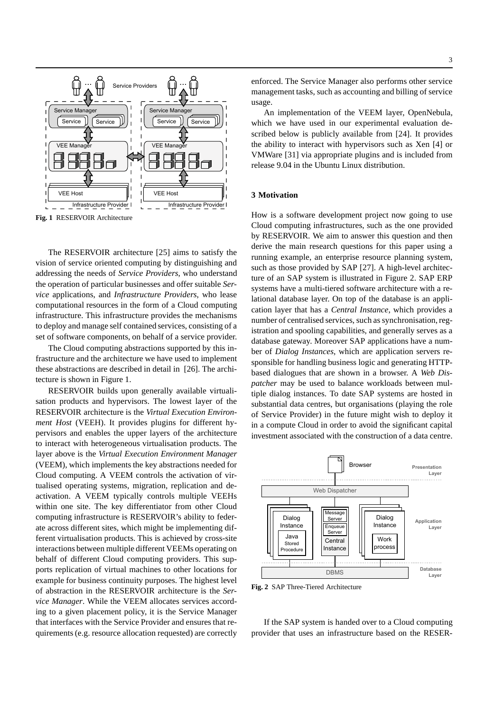

**Fig. 1** RESERVOIR Architecture

The RESERVOIR architecture [25] aims to satisfy the vision of service oriented computing by distinguishing and addressing the needs of *Service Providers*, who understand the operation of particular businesses and offer suitable *Service* applications, and *Infrastructure Providers*, who lease computational resources in the form of a Cloud computing infrastructure. This infrastructure provides the mechanisms to deploy and manage self contained services, consisting of a set of software components, on behalf of a service provider.

The Cloud computing abstractions supported by this infrastructure and the architecture we have used to implement these abstractions are described in detail in [26]. The architecture is shown in Figure 1.

RESERVOIR builds upon generally available virtualisation products and hypervisors. The lowest layer of the RESERVOIR architecture is the *Virtual Execution Environment Host* (VEEH). It provides plugins for different hypervisors and enables the upper layers of the architecture to interact with heterogeneous virtualisation products. The layer above is the *Virtual Execution Environment Manager* (VEEM), which implements the key abstractions needed for Cloud computing. A VEEM controls the activation of virtualised operating systems, migration, replication and deactivation. A VEEM typically controls multiple VEEHs within one site. The key differentiator from other Cloud computing infrastructure is RESERVOIR's ability to federate across different sites, which might be implementing different virtualisation products. This is achieved by cross-site interactions between multiple different VEEMs operating on behalf of different Cloud computing providers. This supports replication of virtual machines to other locations for example for business continuity purposes. The highest level of abstraction in the RESERVOIR architecture is the *Service Manager*. While the VEEM allocates services according to a given placement policy, it is the Service Manager that interfaces with the Service Provider and ensures that requirements (e.g. resource allocation requested) are correctly enforced. The Service Manager also performs other service management tasks, such as accounting and billing of service usage.

An implementation of the VEEM layer, OpenNebula, which we have used in our experimental evaluation described below is publicly available from [24]. It provides the ability to interact with hypervisors such as Xen [4] or VMWare [31] via appropriate plugins and is included from release 9.04 in the Ubuntu Linux distribution.

# **3 Motivation**

How is a software development project now going to use Cloud computing infrastructures, such as the one provided by RESERVOIR. We aim to answer this question and then derive the main research questions for this paper using a running example, an enterprise resource planning system, such as those provided by SAP [27]. A high-level architecture of an SAP system is illustrated in Figure 2. SAP ERP systems have a multi-tiered software architecture with a relational database layer. On top of the database is an application layer that has a *Central Instance*, which provides a number of centralised services, such as synchronisation, registration and spooling capabilities, and generally serves as a database gateway. Moreover SAP applications have a number of *Dialog Instances*, which are application servers responsible for handling business logic and generating HTTPbased dialogues that are shown in a browser. A *Web Dispatcher* may be used to balance workloads between multiple dialog instances. To date SAP systems are hosted in substantial data centres, but organisations (playing the role of Service Provider) in the future might wish to deploy it in a compute Cloud in order to avoid the significant capital investment associated with the construction of a data centre.



**Fig. 2** SAP Three-Tiered Architecture

If the SAP system is handed over to a Cloud computing provider that uses an infrastructure based on the RESER-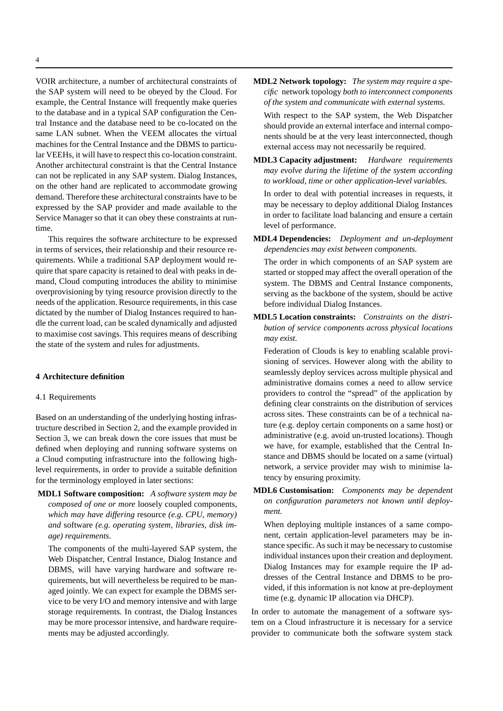VOIR architecture, a number of architectural constraints of the SAP system will need to be obeyed by the Cloud. For example, the Central Instance will frequently make queries to the database and in a typical SAP configuration the Central Instance and the database need to be co-located on the same LAN subnet. When the VEEM allocates the virtual machines for the Central Instance and the DBMS to particular VEEHs, it will have to respect this co-location constraint. Another architectural constraint is that the Central Instance can not be replicated in any SAP system. Dialog Instances, on the other hand are replicated to accommodate growing demand. Therefore these architectural constraints have to be expressed by the SAP provider and made available to the Service Manager so that it can obey these constraints at runtime.

This requires the software architecture to be expressed in terms of services, their relationship and their resource requirements. While a traditional SAP deployment would require that spare capacity is retained to deal with peaks in demand, Cloud computing introduces the ability to minimise overprovisioning by tying resource provision directly to the needs of the application. Resource requirements, in this case dictated by the number of Dialog Instances required to handle the current load, can be scaled dynamically and adjusted to maximise cost savings. This requires means of describing the state of the system and rules for adjustments.

## **4 Architecture definition**

#### 4.1 Requirements

Based on an understanding of the underlying hosting infrastructure described in Section 2, and the example provided in Section 3, we can break down the core issues that must be defined when deploying and running software systems on a Cloud computing infrastructure into the following highlevel requirements, in order to provide a suitable definition for the terminology employed in later sections:

**MDL1 Software composition:** *A software system may be composed of one or more* loosely coupled components*, which may have differing* resource *(e.g. CPU, memory) and* software *(e.g. operating system, libraries, disk image) requirements*.

The components of the multi-layered SAP system, the Web Dispatcher, Central Instance, Dialog Instance and DBMS, will have varying hardware and software requirements, but will nevertheless be required to be managed jointly. We can expect for example the DBMS service to be very I/O and memory intensive and with large storage requirements. In contrast, the Dialog Instances may be more processor intensive, and hardware requirements may be adjusted accordingly.

**MDL2 Network topology:** *The system may require a specific* network topology *both to interconnect components of the system and communicate with external systems.*

With respect to the SAP system, the Web Dispatcher should provide an external interface and internal components should be at the very least interconnected, though external access may not necessarily be required.

**MDL3 Capacity adjustment:** *Hardware requirements may evolve during the lifetime of the system according to workload, time or other application-level variables.*

In order to deal with potential increases in requests, it may be necessary to deploy additional Dialog Instances in order to facilitate load balancing and ensure a certain level of performance.

**MDL4 Dependencies:** *Deployment and un-deployment dependencies may exist between components.*

The order in which components of an SAP system are started or stopped may affect the overall operation of the system. The DBMS and Central Instance components, serving as the backbone of the system, should be active before individual Dialog Instances.

**MDL5 Location constraints:** *Constraints on the distribution of service components across physical locations may exist.*

Federation of Clouds is key to enabling scalable provisioning of services. However along with the ability to seamlessly deploy services across multiple physical and administrative domains comes a need to allow service providers to control the "spread" of the application by defining clear constraints on the distribution of services across sites. These constraints can be of a technical nature (e.g. deploy certain components on a same host) or administrative (e.g. avoid un-trusted locations). Though we have, for example, established that the Central Instance and DBMS should be located on a same (virtual) network, a service provider may wish to minimise latency by ensuring proximity.

**MDL6 Customisation:** *Components may be dependent on configuration parameters not known until deployment.*

When deploying multiple instances of a same component, certain application-level parameters may be instance specific. As such it may be necessary to customise individual instances upon their creation and deployment. Dialog Instances may for example require the IP addresses of the Central Instance and DBMS to be provided, if this information is not know at pre-deployment time (e.g. dynamic IP allocation via DHCP).

In order to automate the management of a software system on a Cloud infrastructure it is necessary for a service provider to communicate both the software system stack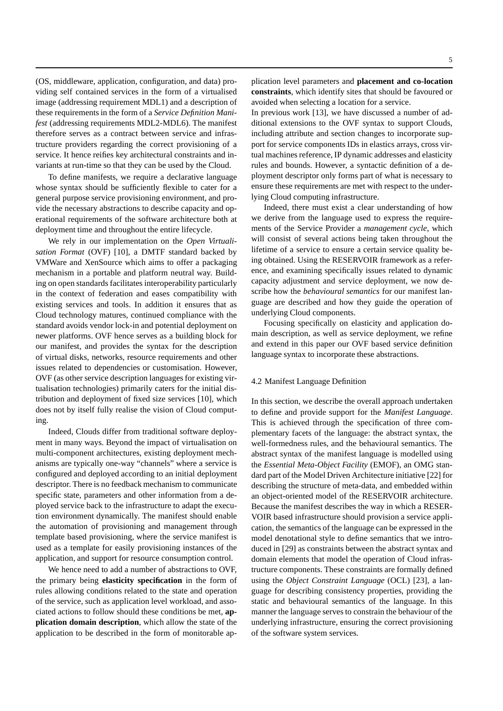(OS, middleware, application, configuration, and data) providing self contained services in the form of a virtualised image (addressing requirement MDL1) and a description of these requirements in the form of a *Service Definition Manifest* (addressing requirements MDL2-MDL6). The manifest therefore serves as a contract between service and infrastructure providers regarding the correct provisioning of a service. It hence reifies key architectural constraints and invariants at run-time so that they can be used by the Cloud.

To define manifests, we require a declarative language whose syntax should be sufficiently flexible to cater for a general purpose service provisioning environment, and provide the necessary abstractions to describe capacity and operational requirements of the software architecture both at deployment time and throughout the entire lifecycle.

We rely in our implementation on the *Open Virtualisation Format* (OVF) [10], a DMTF standard backed by VMWare and XenSource which aims to offer a packaging mechanism in a portable and platform neutral way. Building on open standards facilitates interoperability particularly in the context of federation and eases compatibility with existing services and tools. In addition it ensures that as Cloud technology matures, continued compliance with the standard avoids vendor lock-in and potential deployment on newer platforms. OVF hence serves as a building block for our manifest, and provides the syntax for the description of virtual disks, networks, resource requirements and other issues related to dependencies or customisation. However, OVF (as other service description languages for existing virtualisation technologies) primarily caters for the initial distribution and deployment of fixed size services [10], which does not by itself fully realise the vision of Cloud computing.

Indeed, Clouds differ from traditional software deployment in many ways. Beyond the impact of virtualisation on multi-component architectures, existing deployment mechanisms are typically one-way "channels" where a service is configured and deployed according to an initial deployment descriptor. There is no feedback mechanism to communicate specific state, parameters and other information from a deployed service back to the infrastructure to adapt the execution environment dynamically. The manifest should enable the automation of provisioning and management through template based provisioning, where the service manifest is used as a template for easily provisioning instances of the application, and support for resource consumption control.

We hence need to add a number of abstractions to OVF, the primary being **elasticity specification** in the form of rules allowing conditions related to the state and operation of the service, such as application level workload, and associated actions to follow should these conditions be met, **application domain description**, which allow the state of the application to be described in the form of monitorable application level parameters and **placement and co-location constraints**, which identify sites that should be favoured or avoided when selecting a location for a service.

In previous work [13], we have discussed a number of additional extensions to the OVF syntax to support Clouds, including attribute and section changes to incorporate support for service components IDs in elastics arrays, cross virtual machines reference, IP dynamic addresses and elasticity rules and bounds. However, a syntactic definition of a deployment descriptor only forms part of what is necessary to ensure these requirements are met with respect to the underlying Cloud computing infrastructure.

Indeed, there must exist a clear understanding of how we derive from the language used to express the requirements of the Service Provider a *management cycle*, which will consist of several actions being taken throughout the lifetime of a service to ensure a certain service quality being obtained. Using the RESERVOIR framework as a reference, and examining specifically issues related to dynamic capacity adjustment and service deployment, we now describe how the *behavioural semantics* for our manifest language are described and how they guide the operation of underlying Cloud components.

Focusing specifically on elasticity and application domain description, as well as service deployment, we refine and extend in this paper our OVF based service definition language syntax to incorporate these abstractions.

## 4.2 Manifest Language Definition

In this section, we describe the overall approach undertaken to define and provide support for the *Manifest Language*. This is achieved through the specification of three complementary facets of the language: the abstract syntax, the well-formedness rules, and the behavioural semantics. The abstract syntax of the manifest language is modelled using the *Essential Meta-Object Facility* (EMOF), an OMG standard part of the Model Driven Architecture initiative [22] for describing the structure of meta-data, and embedded within an object-oriented model of the RESERVOIR architecture. Because the manifest describes the way in which a RESER-VOIR based infrastructure should provision a service application, the semantics of the language can be expressed in the model denotational style to define semantics that we introduced in [29] as constraints between the abstract syntax and domain elements that model the operation of Cloud infrastructure components. These constraints are formally defined using the *Object Constraint Language* (OCL) [23], a language for describing consistency properties, providing the static and behavioural semantics of the language. In this manner the language serves to constrain the behaviour of the underlying infrastructure, ensuring the correct provisioning of the software system services.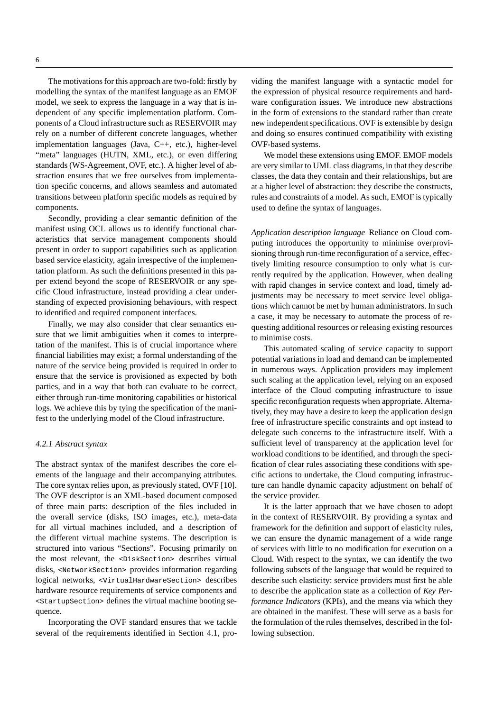The motivations for this approach are two-fold: firstly by modelling the syntax of the manifest language as an EMOF model, we seek to express the language in a way that is independent of any specific implementation platform. Components of a Cloud infrastructure such as RESERVOIR may rely on a number of different concrete languages, whether implementation languages (Java, C++, etc.), higher-level "meta" languages (HUTN, XML, etc.), or even differing standards (WS-Agreement, OVF, etc.). A higher level of abstraction ensures that we free ourselves from implementation specific concerns, and allows seamless and automated transitions between platform specific models as required by components.

Secondly, providing a clear semantic definition of the manifest using OCL allows us to identify functional characteristics that service management components should present in order to support capabilities such as application based service elasticity, again irrespective of the implementation platform. As such the definitions presented in this paper extend beyond the scope of RESERVOIR or any specific Cloud infrastructure, instead providing a clear understanding of expected provisioning behaviours, with respect to identified and required component interfaces.

Finally, we may also consider that clear semantics ensure that we limit ambiguities when it comes to interpretation of the manifest. This is of crucial importance where financial liabilities may exist; a formal understanding of the nature of the service being provided is required in order to ensure that the service is provisioned as expected by both parties, and in a way that both can evaluate to be correct, either through run-time monitoring capabilities or historical logs. We achieve this by tying the specification of the manifest to the underlying model of the Cloud infrastructure.

### *4.2.1 Abstract syntax*

The abstract syntax of the manifest describes the core elements of the language and their accompanying attributes. The core syntax relies upon, as previously stated, OVF [10]. The OVF descriptor is an XML-based document composed of three main parts: description of the files included in the overall service (disks, ISO images, etc.), meta-data for all virtual machines included, and a description of the different virtual machine systems. The description is structured into various "Sections". Focusing primarily on the most relevant, the <DiskSection> describes virtual disks, <NetworkSection> provides information regarding logical networks, <VirtualHardwareSection> describes hardware resource requirements of service components and <StartupSection> defines the virtual machine booting sequence.

Incorporating the OVF standard ensures that we tackle several of the requirements identified in Section 4.1, providing the manifest language with a syntactic model for the expression of physical resource requirements and hardware configuration issues. We introduce new abstractions in the form of extensions to the standard rather than create new independent specifications. OVF is extensible by design and doing so ensures continued compatibility with existing OVF-based systems.

We model these extensions using EMOF. EMOF models are very similar to UML class diagrams, in that they describe classes, the data they contain and their relationships, but are at a higher level of abstraction: they describe the constructs, rules and constraints of a model. As such, EMOF is typically used to define the syntax of languages.

*Application description language* Reliance on Cloud computing introduces the opportunity to minimise overprovisioning through run-time reconfiguration of a service, effectively limiting resource consumption to only what is currently required by the application. However, when dealing with rapid changes in service context and load, timely adjustments may be necessary to meet service level obligations which cannot be met by human administrators. In such a case, it may be necessary to automate the process of requesting additional resources or releasing existing resources to minimise costs.

This automated scaling of service capacity to support potential variations in load and demand can be implemented in numerous ways. Application providers may implement such scaling at the application level, relying on an exposed interface of the Cloud computing infrastructure to issue specific reconfiguration requests when appropriate. Alternatively, they may have a desire to keep the application design free of infrastructure specific constraints and opt instead to delegate such concerns to the infrastructure itself. With a sufficient level of transparency at the application level for workload conditions to be identified, and through the specification of clear rules associating these conditions with specific actions to undertake, the Cloud computing infrastructure can handle dynamic capacity adjustment on behalf of the service provider.

It is the latter approach that we have chosen to adopt in the context of RESERVOIR. By providing a syntax and framework for the definition and support of elasticity rules, we can ensure the dynamic management of a wide range of services with little to no modification for execution on a Cloud. With respect to the syntax, we can identify the two following subsets of the language that would be required to describe such elasticity: service providers must first be able to describe the application state as a collection of *Key Performance Indicators* (KPIs), and the means via which they are obtained in the manifest. These will serve as a basis for the formulation of the rules themselves, described in the following subsection.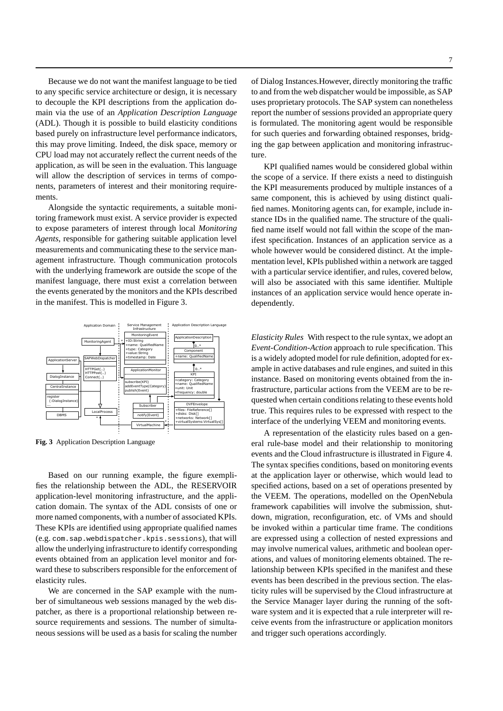Because we do not want the manifest language to be tied to any specific service architecture or design, it is necessary to decouple the KPI descriptions from the application domain via the use of an *Application Description Language* (ADL). Though it is possible to build elasticity conditions based purely on infrastructure level performance indicators, this may prove limiting. Indeed, the disk space, memory or CPU load may not accurately reflect the current needs of the application, as will be seen in the evaluation. This language will allow the description of services in terms of components, parameters of interest and their monitoring requirements.

Alongside the syntactic requirements, a suitable monitoring framework must exist. A service provider is expected to expose parameters of interest through local *Monitoring Agents*, responsible for gathering suitable application level measurements and communicating these to the service management infrastructure. Though communication protocols with the underlying framework are outside the scope of the manifest language, there must exist a correlation between the events generated by the monitors and the KPIs described in the manifest. This is modelled in Figure 3.



**Fig. 3** Application Description Language

Based on our running example, the figure exemplifies the relationship between the ADL, the RESERVOIR application-level monitoring infrastructure, and the application domain. The syntax of the ADL consists of one or more named components, with a number of associated KPIs. These KPIs are identified using appropriate qualified names (e.g. com.sap.webdispatcher.kpis.sessions), that will allow the underlying infrastructure to identify corresponding events obtained from an application level monitor and forward these to subscribers responsible for the enforcement of elasticity rules.

We are concerned in the SAP example with the number of simultaneous web sessions managed by the web dispatcher, as there is a proportional relationship between resource requirements and sessions. The number of simultaneous sessions will be used as a basis for scaling the number of Dialog Instances.However, directly monitoring the traffic to and from the web dispatcher would be impossible, as SAP uses proprietary protocols. The SAP system can nonetheless report the number of sessions provided an appropriate query is formulated. The monitoring agent would be responsible for such queries and forwarding obtained responses, bridging the gap between application and monitoring infrastructure.

KPI qualified names would be considered global within the scope of a service. If there exists a need to distinguish the KPI measurements produced by multiple instances of a same component, this is achieved by using distinct qualified names. Monitoring agents can, for example, include instance IDs in the qualified name. The structure of the qualified name itself would not fall within the scope of the manifest specification. Instances of an application service as a whole however would be considered distinct. At the implementation level, KPIs published within a network are tagged with a particular service identifier, and rules, covered below, will also be associated with this same identifier. Multiple instances of an application service would hence operate independently.

*Elasticity Rules* With respect to the rule syntax, we adopt an *Event-Condition-Action* approach to rule specification. This is a widely adopted model for rule definition, adopted for example in active databases and rule engines, and suited in this instance. Based on monitoring events obtained from the infrastructure, particular actions from the VEEM are to be requested when certain conditions relating to these events hold true. This requires rules to be expressed with respect to the interface of the underlying VEEM and monitoring events.

A representation of the elasticity rules based on a general rule-base model and their relationship to monitoring events and the Cloud infrastructure is illustrated in Figure 4. The syntax specifies conditions, based on monitoring events at the application layer or otherwise, which would lead to specified actions, based on a set of operations presented by the VEEM. The operations, modelled on the OpenNebula framework capabilities will involve the submission, shutdown, migration, reconfiguration, etc. of VMs and should be invoked within a particular time frame. The conditions are expressed using a collection of nested expressions and may involve numerical values, arithmetic and boolean operations, and values of monitoring elements obtained. The relationship between KPIs specified in the manifest and these events has been described in the previous section. The elasticity rules will be supervised by the Cloud infrastructure at the Service Manager layer during the running of the software system and it is expected that a rule interpreter will receive events from the infrastructure or application monitors and trigger such operations accordingly.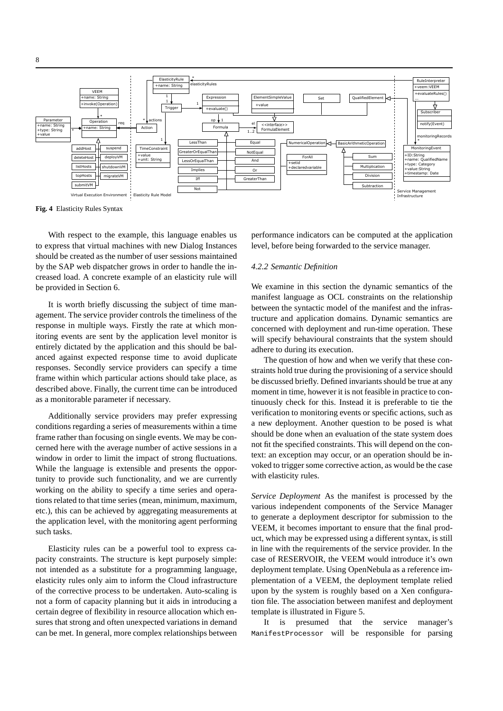

**Fig. 4** Elasticity Rules Syntax

With respect to the example, this language enables us to express that virtual machines with new Dialog Instances should be created as the number of user sessions maintained by the SAP web dispatcher grows in order to handle the increased load. A concrete example of an elasticity rule will be provided in Section 6.

It is worth briefly discussing the subject of time management. The service provider controls the timeliness of the response in multiple ways. Firstly the rate at which monitoring events are sent by the application level monitor is entirely dictated by the application and this should be balanced against expected response time to avoid duplicate responses. Secondly service providers can specify a time frame within which particular actions should take place, as described above. Finally, the current time can be introduced as a monitorable parameter if necessary.

Additionally service providers may prefer expressing conditions regarding a series of measurements within a time frame rather than focusing on single events. We may be concerned here with the average number of active sessions in a window in order to limit the impact of strong fluctuations. While the language is extensible and presents the opportunity to provide such functionality, and we are currently working on the ability to specify a time series and operations related to that time series (mean, minimum, maximum, etc.), this can be achieved by aggregating measurements at the application level, with the monitoring agent performing such tasks.

Elasticity rules can be a powerful tool to express capacity constraints. The structure is kept purposely simple: not intended as a substitute for a programming language, elasticity rules only aim to inform the Cloud infrastructure of the corrective process to be undertaken. Auto-scaling is not a form of capacity planning but it aids in introducing a certain degree of flexibility in resource allocation which ensures that strong and often unexpected variations in demand can be met. In general, more complex relationships between

performance indicators can be computed at the application level, before being forwarded to the service manager.

## *4.2.2 Semantic Definition*

We examine in this section the dynamic semantics of the manifest language as OCL constraints on the relationship between the syntactic model of the manifest and the infrastructure and application domains. Dynamic semantics are concerned with deployment and run-time operation. These will specify behavioural constraints that the system should adhere to during its execution.

The question of how and when we verify that these constraints hold true during the provisioning of a service should be discussed briefly. Defined invariants should be true at any moment in time, however it is not feasible in practice to continuously check for this. Instead it is preferable to tie the verification to monitoring events or specific actions, such as a new deployment. Another question to be posed is what should be done when an evaluation of the state system does not fit the specified constraints. This will depend on the context: an exception may occur, or an operation should be invoked to trigger some corrective action, as would be the case with elasticity rules.

*Service Deployment* As the manifest is processed by the various independent components of the Service Manager to generate a deployment descriptor for submission to the VEEM, it becomes important to ensure that the final product, which may be expressed using a different syntax, is still in line with the requirements of the service provider. In the case of RESERVOIR, the VEEM would introduce it's own deployment template. Using OpenNebula as a reference implementation of a VEEM, the deployment template relied upon by the system is roughly based on a Xen configuration file. The association between manifest and deployment template is illustrated in Figure 5.

It is presumed that the service manager's ManifestProcessor will be responsible for parsing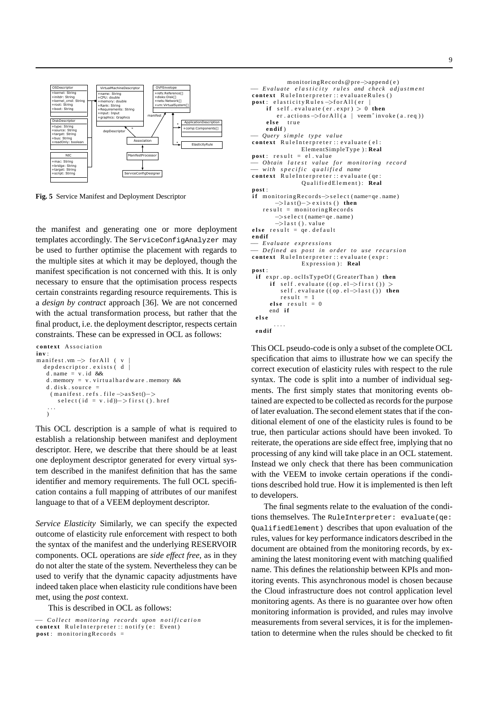

**Fig. 5** Service Manifest and Deployment Descriptor

the manifest and generating one or more deployment templates accordingly. The ServiceConfigAnalyzer may be used to further optimise the placement with regards to the multiple sites at which it may be deployed, though the manifest specification is not concerned with this. It is only necessary to ensure that the optimisation process respects certain constraints regarding resource requirements. This is a *design by contract* approach [36]. We are not concerned with the actual transformation process, but rather that the final product, i.e. the deployment descriptor, respects certain constraints. These can be expressed in OCL as follows:

```
context Association
inv :
manifest.vm \rightarrow for All (v)dep descriptor. exists (d |
   d . name = v . id &&
   d . memory = v. virtual hard ware . memory &&
   d disk source =(manifest. refs. file > as Set() ->select(id = v.id)) –> first(). href
    . . .
   \lambda
```
This OCL description is a sample of what is required to establish a relationship between manifest and deployment descriptor. Here, we describe that there should be at least one deployment descriptor generated for every virtual system described in the manifest definition that has the same identifier and memory requirements. The full OCL specification contains a full mapping of attributes of our manifest language to that of a VEEM deployment descriptor.

*Service Elasticity* Similarly, we can specify the expected outcome of elasticity rule enforcement with respect to both the syntax of the manifest and the underlying RESERVOIR components. OCL operations are *side effect free*, as in they do not alter the state of the system. Nevertheless they can be used to verify that the dynamic capacity adjustments have indeed taken place when elasticity rule conditions have been met, using the *post* context.

This is described in OCL as follows:

```
−− C o l l e c t m o n i t o r i n g r e c o r d s upon n o t i f i c a t i o n
context RuleInterpreter:: notify (e: Event)
post : monitoring Records =
```

```
monitoringRecords @ pre−>append ( e )
−− E v a l u a t e e l a s t i c i t y r u l e s and check a d j u s t m e n t
context RuleInterpreter :: evaluateRules ()
post: elasticity Rules \rightarrowfor All (er |<br>if self. evaluate (er. expr) > 0 then
     if self. evaluate (er. expr) > 0er. actions \rightarrowfor All (a | veem ^ invoke (a. r eq ))<br>else
            truee n d i f )
    −− Query s i m p l e t y p e v a l u e
context RuleInterpreter :: evaluate (el :
                 ElementSimpleType ) : Real
post : result = el. value
    Obtain latest value for monitoring record
   with specific qualified name
context RuleInterpreter : evaluate (ge :
                  Q u a l i f i e d E l e m e n t ) : Real
post:if monitoringRecords->select (name=qe.name)
          \Rightarrowlast() \Rightarrow exists() then
    result = monitoring Records−>s e l e c t ( name=qe . name )
         \rightarrowla st (), value
else result = qe. default
e n d i f
   −− E v a l u a t e e x p r e s s i o n s
−− D e f i n e d as p o s t i n o r d e r t o us e r e c u r s i o n
context RuleInterpreter :: evaluate (expr:
                  Expression ): Real
\bf{post}:
 if expr.op.oclIsTypeOf (GreaterThan) then
      if self . evaluate ((op. el \rightarrow first())self.evaluate ((op.el->last()) then
          result = 1else result = 0
      end if
 e l s e
         . . . .
 e n d i f
```
This OCL pseudo-code is only a subset of the complete OCL specification that aims to illustrate how we can specify the correct execution of elasticity rules with respect to the rule syntax. The code is split into a number of individual segments. The first simply states that monitoring events obtained are expected to be collected as records for the purpose of later evaluation. The second element states that if the conditional element of one of the elasticity rules is found to be true, then particular actions should have been invoked. To reiterate, the operations are side effect free, implying that no processing of any kind will take place in an OCL statement. Instead we only check that there has been communication with the VEEM to invoke certain operations if the conditions described hold true. How it is implemented is then left to developers.

The final segments relate to the evaluation of the conditions themselves. The RuleInterpreter: evaluate(qe: QualifiedElement) describes that upon evaluation of the rules, values for key performance indicators described in the document are obtained from the monitoring records, by examining the latest monitoring event with matching qualified name. This defines the relationship between KPIs and monitoring events. This asynchronous model is chosen because the Cloud infrastructure does not control application level monitoring agents. As there is no guarantee over how often monitoring information is provided, and rules may involve measurements from several services, it is for the implementation to determine when the rules should be checked to fit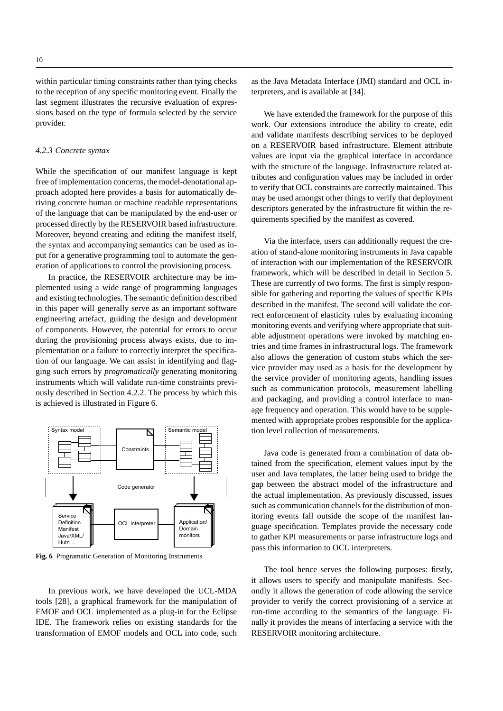within particular timing constraints rather than tying checks to the reception of any specific monitoring event. Finally the last segment illustrates the recursive evaluation of expressions based on the type of formula selected by the service provider.

## *4.2.3 Concrete syntax*

While the specification of our manifest language is kept free of implementation concerns, the model-denotational approach adopted here provides a basis for automatically deriving concrete human or machine readable representations of the language that can be manipulated by the end-user or processed directly by the RESERVOIR based infrastructure. Moreover, beyond creating and editing the manifest itself, the syntax and accompanying semantics can be used as input for a generative programming tool to automate the generation of applications to control the provisioning process.

In practice, the RESERVOIR architecture may be implemented using a wide range of programming languages and existing technologies. The semantic definition described in this paper will generally serve as an important software engineering artefact, guiding the design and development of components. However, the potential for errors to occur during the provisioning process always exists, due to implementation or a failure to correctly interpret the specification of our language. We can assist in identifying and flagging such errors by *programatically* generating monitoring instruments which will validate run-time constraints previously described in Section 4.2.2. The process by which this is achieved is illustrated in Figure 6.



**Fig. 6** Programatic Generation of Monitoring Instruments

In previous work, we have developed the UCL-MDA tools [28], a graphical framework for the manipulation of EMOF and OCL implemented as a plug-in for the Eclipse IDE. The framework relies on existing standards for the transformation of EMOF models and OCL into code, such as the Java Metadata Interface (JMI) standard and OCL interpreters, and is available at [34].

We have extended the framework for the purpose of this work. Our extensions introduce the ability to create, edit and validate manifests describing services to be deployed on a RESERVOIR based infrastructure. Element attribute values are input via the graphical interface in accordance with the structure of the language. Infrastructure related attributes and configuration values may be included in order to verify that OCL constraints are correctly maintained. This may be used amongst other things to verify that deployment descriptors generated by the infrastructure fit within the requirements specified by the manifest as covered.

Via the interface, users can additionally request the creation of stand-alone monitoring instruments in Java capable of interaction with our implementation of the RESERVOIR framework, which will be described in detail in Section 5. These are currently of two forms. The first is simply responsible for gathering and reporting the values of specific KPIs described in the manifest. The second will validate the correct enforcement of elasticity rules by evaluating incoming monitoring events and verifying where appropriate that suitable adjustment operations were invoked by matching entries and time frames in infrastructural logs. The framework also allows the generation of custom stubs which the service provider may used as a basis for the development by the service provider of monitoring agents, handling issues such as communication protocols, measurement labelling and packaging, and providing a control interface to manage frequency and operation. This would have to be supplemented with appropriate probes responsible for the application level collection of measurements.

Java code is generated from a combination of data obtained from the specification, element values input by the user and Java templates, the latter being used to bridge the gap between the abstract model of the infrastructure and the actual implementation. As previously discussed, issues such as communication channels for the distribution of monitoring events fall outside the scope of the manifest language specification. Templates provide the necessary code to gather KPI measurements or parse infrastructure logs and pass this information to OCL interpreters.

The tool hence serves the following purposes: firstly, it allows users to specify and manipulate manifests. Secondly it allows the generation of code allowing the service provider to verify the correct provisioning of a service at run-time according to the semantics of the language. Finally it provides the means of interfacing a service with the RESERVOIR monitoring architecture.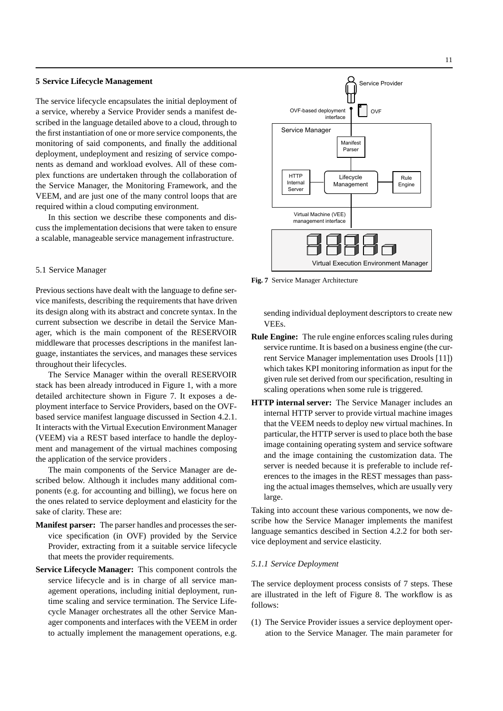# **5 Service Lifecycle Management**

The service lifecycle encapsulates the initial deployment of a service, whereby a Service Provider sends a manifest described in the language detailed above to a cloud, through to the first instantiation of one or more service components, the monitoring of said components, and finally the additional deployment, undeployment and resizing of service components as demand and workload evolves. All of these complex functions are undertaken through the collaboration of the Service Manager, the Monitoring Framework, and the VEEM, and are just one of the many control loops that are required within a cloud computing environment.

In this section we describe these components and discuss the implementation decisions that were taken to ensure a scalable, manageable service management infrastructure.

## 5.1 Service Manager

Previous sections have dealt with the language to define service manifests, describing the requirements that have driven its design along with its abstract and concrete syntax. In the current subsection we describe in detail the Service Manager, which is the main component of the RESERVOIR middleware that processes descriptions in the manifest language, instantiates the services, and manages these services throughout their lifecycles.

The Service Manager within the overall RESERVOIR stack has been already introduced in Figure 1, with a more detailed architecture shown in Figure 7. It exposes a deployment interface to Service Providers, based on the OVFbased service manifest language discussed in Section 4.2.1. It interacts with the Virtual Execution Environment Manager (VEEM) via a REST based interface to handle the deployment and management of the virtual machines composing the application of the service providers .

The main components of the Service Manager are described below. Although it includes many additional components (e.g. for accounting and billing), we focus here on the ones related to service deployment and elasticity for the sake of clarity. These are:

- **Manifest parser:** The parser handles and processes the service specification (in OVF) provided by the Service Provider, extracting from it a suitable service lifecycle that meets the provider requirements.
- **Service Lifecycle Manager:** This component controls the service lifecycle and is in charge of all service management operations, including initial deployment, runtime scaling and service termination. The Service Lifecycle Manager orchestrates all the other Service Manager components and interfaces with the VEEM in order to actually implement the management operations, e.g.



**Fig. 7** Service Manager Architecture

sending individual deployment descriptors to create new VEEs.

- **Rule Engine:** The rule engine enforces scaling rules during service runtime. It is based on a business engine (the current Service Manager implementation uses Drools [11]) which takes KPI monitoring information as input for the given rule set derived from our specification, resulting in scaling operations when some rule is triggered.
- **HTTP internal server:** The Service Manager includes an internal HTTP server to provide virtual machine images that the VEEM needs to deploy new virtual machines. In particular, the HTTP server is used to place both the base image containing operating system and service software and the image containing the customization data. The server is needed because it is preferable to include references to the images in the REST messages than passing the actual images themselves, which are usually very large.

Taking into account these various components, we now describe how the Service Manager implements the manifest language semantics descibed in Section 4.2.2 for both service deployment and service elasticity.

## *5.1.1 Service Deployment*

The service deployment process consists of 7 steps. These are illustrated in the left of Figure 8. The workflow is as follows:

(1) The Service Provider issues a service deployment operation to the Service Manager. The main parameter for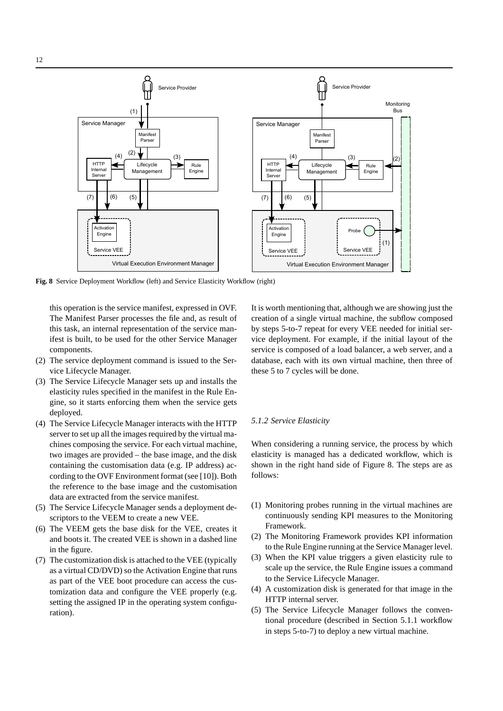

**Fig. 8** Service Deployment Workflow (left) and Service Elasticity Workflow (right)

this operation is the service manifest, expressed in OVF. The Manifest Parser processes the file and, as result of this task, an internal representation of the service manifest is built, to be used for the other Service Manager components.

- (2) The service deployment command is issued to the Service Lifecycle Manager.
- (3) The Service Lifecycle Manager sets up and installs the elasticity rules specified in the manifest in the Rule Engine, so it starts enforcing them when the service gets deployed.
- (4) The Service Lifecycle Manager interacts with the HTTP server to set up all the images required by the virtual machines composing the service. For each virtual machine, two images are provided – the base image, and the disk containing the customisation data (e.g. IP address) according to the OVF Environment format (see [10]). Both the reference to the base image and the customisation data are extracted from the service manifest.
- (5) The Service Lifecycle Manager sends a deployment descriptors to the VEEM to create a new VEE.
- (6) The VEEM gets the base disk for the VEE, creates it and boots it. The created VEE is shown in a dashed line in the figure.
- (7) The customization disk is attached to the VEE (typically as a virtual CD/DVD) so the Activation Engine that runs as part of the VEE boot procedure can access the customization data and configure the VEE properly (e.g. setting the assigned IP in the operating system configuration).

It is worth mentioning that, although we are showing just the creation of a single virtual machine, the subflow composed by steps 5-to-7 repeat for every VEE needed for initial service deployment. For example, if the initial layout of the service is composed of a load balancer, a web server, and a database, each with its own virtual machine, then three of these 5 to 7 cycles will be done.

# *5.1.2 Service Elasticity*

When considering a running service, the process by which elasticity is managed has a dedicated workflow, which is shown in the right hand side of Figure 8. The steps are as follows:

- (1) Monitoring probes running in the virtual machines are continuously sending KPI measures to the Monitoring Framework.
- (2) The Monitoring Framework provides KPI information to the Rule Engine running at the Service Manager level.
- (3) When the KPI value triggers a given elasticity rule to scale up the service, the Rule Engine issues a command to the Service Lifecycle Manager.
- (4) A customization disk is generated for that image in the HTTP internal server.
- (5) The Service Lifecycle Manager follows the conventional procedure (described in Section 5.1.1 workflow in steps 5-to-7) to deploy a new virtual machine.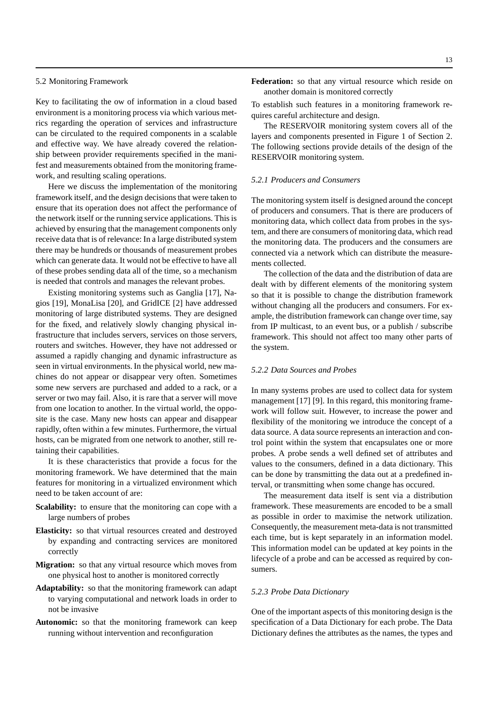## 5.2 Monitoring Framework

Key to facilitating the ow of information in a cloud based environment is a monitoring process via which various metrics regarding the operation of services and infrastructure can be circulated to the required components in a scalable and effective way. We have already covered the relationship between provider requirements specified in the manifest and measurements obtained from the monitoring framework, and resulting scaling operations.

Here we discuss the implementation of the monitoring framework itself, and the design decisions that were taken to ensure that its operation does not affect the performance of the network itself or the running service applications. This is achieved by ensuring that the management components only receive data that is of relevance: In a large distributed system there may be hundreds or thousands of measurement probes which can generate data. It would not be effective to have all of these probes sending data all of the time, so a mechanism is needed that controls and manages the relevant probes.

Existing monitoring systems such as Ganglia [17], Nagios [19], MonaLisa [20], and GridICE [2] have addressed monitoring of large distributed systems. They are designed for the fixed, and relatively slowly changing physical infrastructure that includes servers, services on those servers, routers and switches. However, they have not addressed or assumed a rapidly changing and dynamic infrastructure as seen in virtual environments. In the physical world, new machines do not appear or disappear very often. Sometimes some new servers are purchased and added to a rack, or a server or two may fail. Also, it is rare that a server will move from one location to another. In the virtual world, the opposite is the case. Many new hosts can appear and disappear rapidly, often within a few minutes. Furthermore, the virtual hosts, can be migrated from one network to another, still retaining their capabilities.

It is these characteristics that provide a focus for the monitoring framework. We have determined that the main features for monitoring in a virtualized environment which need to be taken account of are:

- **Scalability:** to ensure that the monitoring can cope with a large numbers of probes
- **Elasticity:** so that virtual resources created and destroyed by expanding and contracting services are monitored correctly
- **Migration:** so that any virtual resource which moves from one physical host to another is monitored correctly
- **Adaptability:** so that the monitoring framework can adapt to varying computational and network loads in order to not be invasive
- **Autonomic:** so that the monitoring framework can keep running without intervention and reconfiguration

**Federation:** so that any virtual resource which reside on another domain is monitored correctly

To establish such features in a monitoring framework requires careful architecture and design.

The RESERVOIR monitoring system covers all of the layers and components presented in Figure 1 of Section 2. The following sections provide details of the design of the RESERVOIR monitoring system.

## *5.2.1 Producers and Consumers*

The monitoring system itself is designed around the concept of producers and consumers. That is there are producers of monitoring data, which collect data from probes in the system, and there are consumers of monitoring data, which read the monitoring data. The producers and the consumers are connected via a network which can distribute the measurements collected.

The collection of the data and the distribution of data are dealt with by different elements of the monitoring system so that it is possible to change the distribution framework without changing all the producers and consumers. For example, the distribution framework can change over time, say from IP multicast, to an event bus, or a publish / subscribe framework. This should not affect too many other parts of the system.

## *5.2.2 Data Sources and Probes*

In many systems probes are used to collect data for system management [17] [9]. In this regard, this monitoring framework will follow suit. However, to increase the power and flexibility of the monitoring we introduce the concept of a data source. A data source represents an interaction and control point within the system that encapsulates one or more probes. A probe sends a well defined set of attributes and values to the consumers, defined in a data dictionary. This can be done by transmitting the data out at a predefined interval, or transmitting when some change has occured.

The measurement data itself is sent via a distribution framework. These measurements are encoded to be a small as possible in order to maximise the network utilization. Consequently, the measurement meta-data is not transmitted each time, but is kept separately in an information model. This information model can be updated at key points in the lifecycle of a probe and can be accessed as required by consumers.

#### *5.2.3 Probe Data Dictionary*

One of the important aspects of this monitoring design is the specification of a Data Dictionary for each probe. The Data Dictionary defines the attributes as the names, the types and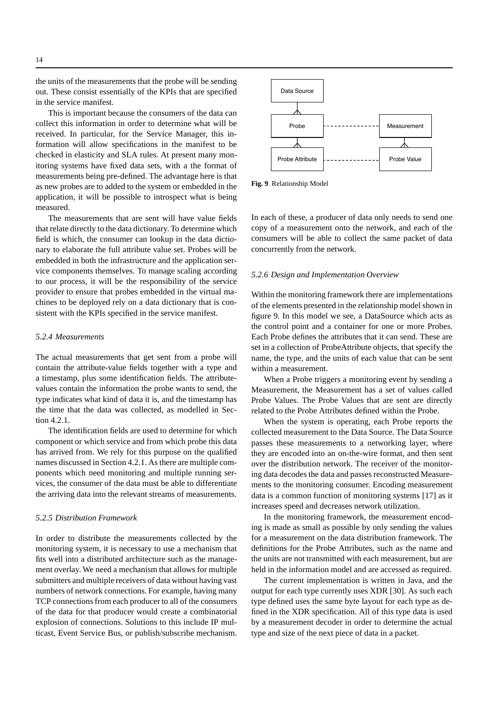the units of the measurements that the probe will be sending out. These consist essentially of the KPIs that are specified in the service manifest.

This is important because the consumers of the data can collect this information in order to determine what will be received. In particular, for the Service Manager, this information will allow specifications in the manifest to be checked in elasticity and SLA rules. At present many monitoring systems have fixed data sets, with a the format of measurements being pre-defined. The advantage here is that as new probes are to added to the system or embedded in the application, it will be possible to introspect what is being measured.

The measurements that are sent will have value fields that relate directly to the data dictionary. To determine which field is which, the consumer can lookup in the data dictionary to elaborate the full attribute value set. Probes will be embedded in both the infrastructure and the application service components themselves. To manage scaling according to our process, it will be the responsibility of the service provider to ensure that probes embedded in the virtual machines to be deployed rely on a data dictionary that is consistent with the KPIs specified in the service manifest.

# *5.2.4 Measurements*

The actual measurements that get sent from a probe will contain the attribute-value fields together with a type and a timestamp, plus some identification fields. The attributevalues contain the information the probe wants to send, the type indicates what kind of data it is, and the timestamp has the time that the data was collected, as modelled in Section 4.2.1.

The identification fields are used to determine for which component or which service and from which probe this data has arrived from. We rely for this purpose on the qualified names discussed in Section 4.2.1. As there are multiple components which need monitoring and multiple running services, the consumer of the data must be able to differentiate the arriving data into the relevant streams of measurements.

## *5.2.5 Distribution Framework*

In order to distribute the measurements collected by the monitoring system, it is necessary to use a mechanism that fits well into a distributed architecture such as the management overlay. We need a mechanism that allows for multiple submitters and multiple receivers of data without having vast numbers of network connections. For example, having many TCP connections from each producer to all of the consumers of the data for that producer would create a combinatorial explosion of connections. Solutions to this include IP multicast, Event Service Bus, or publish/subscribe mechanism.



**Fig. 9** Relationship Model

In each of these, a producer of data only needs to send one copy of a measurement onto the network, and each of the consumers will be able to collect the same packet of data concurrently from the network.

## *5.2.6 Design and Implementation Overview*

Within the monitoring framework there are implementations of the elements presented in the relationship model shown in figure 9. In this model we see, a DataSource which acts as the control point and a container for one or more Probes. Each Probe defines the attributes that it can send. These are set in a collection of ProbeAttribute objects, that specify the name, the type, and the units of each value that can be sent within a measurement.

When a Probe triggers a monitoring event by sending a Measurement, the Measurement has a set of values called Probe Values. The Probe Values that are sent are directly related to the Probe Attributes defined within the Probe.

When the system is operating, each Probe reports the collected measurement to the Data Source. The Data Source passes these measurements to a networking layer, where they are encoded into an on-the-wire format, and then sent over the distribution network. The receiver of the monitoring data decodes the data and passes reconstructed Measurements to the monitoring consumer. Encoding measurement data is a common function of monitoring systems [17] as it increases speed and decreases network utilization.

In the monitoring framework, the measurement encoding is made as small as possible by only sending the values for a measurement on the data distribution framework. The definitions for the Probe Attributes, such as the name and the units are not transmitted with each measurement, but are held in the information model and are accessed as required.

The current implementation is written in Java, and the output for each type currently uses XDR [30]. As such each type defined uses the same byte layout for each type as defined in the XDR specification. All of this type data is used by a measurement decoder in order to determine the actual type and size of the next piece of data in a packet.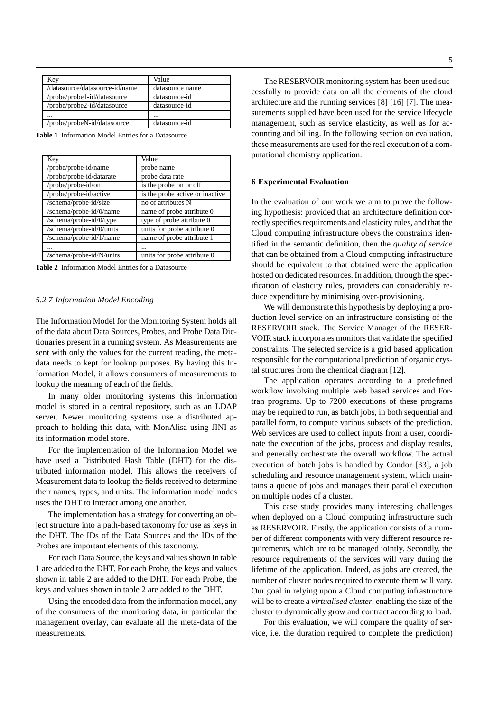| Key                            | Value           |  |
|--------------------------------|-----------------|--|
| /datasource/datasource-id/name | datasource name |  |
| /probe/probe1-id/datasource    | datasource-id   |  |
| /probe/probe2-id/datasource    | datasource-id   |  |
| $\cdots$                       | $\cdots$        |  |
| /probe/probeN-id/datasource    | datasource-id   |  |

**Table 1** Information Model Entries for a Datasource

| Key                      | Value                           |  |
|--------------------------|---------------------------------|--|
| /probe/probe-id/name     | probe name                      |  |
| /probe/probe-id/datarate | probe data rate                 |  |
| /probe/probe-id/on       | is the probe on or off          |  |
| /probe/probe-id/active   | is the probe active or inactive |  |
| /schema/probe-id/size    | no of attributes N              |  |
| /schema/probe-id/0/name  | name of probe attribute 0       |  |
| /schema/probe-id/0/type  | type of probe attribute 0       |  |
| /schema/probe-id/0/units | units for probe attribute 0     |  |
| /schema/probe-id/1/name  | name of probe attribute 1       |  |
|                          |                                 |  |
| /schema/probe-id/N/units | units for probe attribute 0     |  |

**Table 2** Information Model Entries for a Datasource

## *5.2.7 Information Model Encoding*

The Information Model for the Monitoring System holds all of the data about Data Sources, Probes, and Probe Data Dictionaries present in a running system. As Measurements are sent with only the values for the current reading, the metadata needs to kept for lookup purposes. By having this Information Model, it allows consumers of measurements to lookup the meaning of each of the fields.

In many older monitoring systems this information model is stored in a central repository, such as an LDAP server. Newer monitoring systems use a distributed approach to holding this data, with MonAlisa using JINI as its information model store.

For the implementation of the Information Model we have used a Distributed Hash Table (DHT) for the distributed information model. This allows the receivers of Measurement data to lookup the fields received to determine their names, types, and units. The information model nodes uses the DHT to interact among one another.

The implementation has a strategy for converting an object structure into a path-based taxonomy for use as keys in the DHT. The IDs of the Data Sources and the IDs of the Probes are important elements of this taxonomy.

For each Data Source, the keys and values shown in table 1 are added to the DHT. For each Probe, the keys and values shown in table 2 are added to the DHT. For each Probe, the keys and values shown in table 2 are added to the DHT.

Using the encoded data from the information model, any of the consumers of the monitoring data, in particular the management overlay, can evaluate all the meta-data of the measurements.

The RESERVOIR monitoring system has been used successfully to provide data on all the elements of the cloud architecture and the running services [8] [16] [7]. The measurements supplied have been used for the service lifecycle management, such as service elasticity, as well as for accounting and billing. In the following section on evaluation, these measurements are used for the real execution of a computational chemistry application.

#### **6 Experimental Evaluation**

In the evaluation of our work we aim to prove the following hypothesis: provided that an architecture definition correctly specifies requirements and elasticity rules, and that the Cloud computing infrastructure obeys the constraints identified in the semantic definition, then the *quality of service* that can be obtained from a Cloud computing infrastructure should be equivalent to that obtained were the application hosted on dedicated resources. In addition, through the specification of elasticity rules, providers can considerably reduce expenditure by minimising over-provisioning.

We will demonstrate this hypothesis by deploying a production level service on an infrastructure consisting of the RESERVOIR stack. The Service Manager of the RESER-VOIR stack incorporates monitors that validate the specified constraints. The selected service is a grid based application responsible for the computational prediction of organic crystal structures from the chemical diagram [12].

The application operates according to a predefined workflow involving multiple web based services and Fortran programs. Up to 7200 executions of these programs may be required to run, as batch jobs, in both sequential and parallel form, to compute various subsets of the prediction. Web services are used to collect inputs from a user, coordinate the execution of the jobs, process and display results, and generally orchestrate the overall workflow. The actual execution of batch jobs is handled by Condor [33], a job scheduling and resource management system, which maintains a queue of jobs and manages their parallel execution on multiple nodes of a cluster.

This case study provides many interesting challenges when deployed on a Cloud computing infrastructure such as RESERVOIR. Firstly, the application consists of a number of different components with very different resource requirements, which are to be managed jointly. Secondly, the resource requirements of the services will vary during the lifetime of the application. Indeed, as jobs are created, the number of cluster nodes required to execute them will vary. Our goal in relying upon a Cloud computing infrastructure will be to create a *virtualised cluster*, enabling the size of the cluster to dynamically grow and contract according to load.

For this evaluation, we will compare the quality of service, i.e. the duration required to complete the prediction)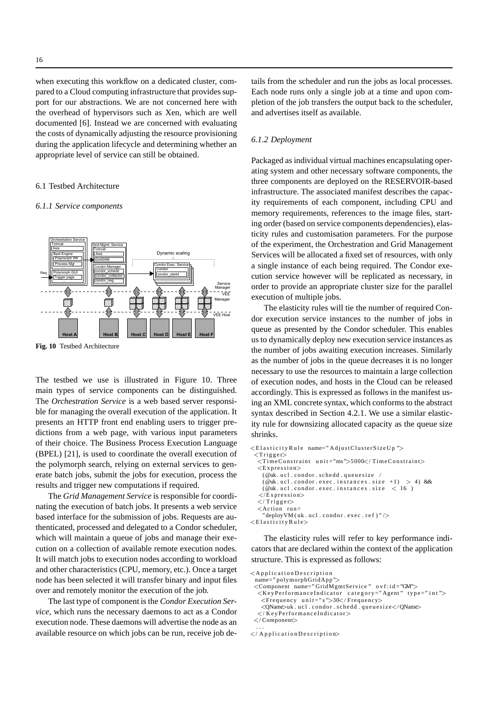when executing this workflow on a dedicated cluster, compared to a Cloud computing infrastructure that provides support for our abstractions. We are not concerned here with the overhead of hypervisors such as Xen, which are well documented [6]. Instead we are concerned with evaluating the costs of dynamically adjusting the resource provisioning during the application lifecycle and determining whether an appropriate level of service can still be obtained.

## 6.1 Testbed Architecture

# *6.1.1 Service components*



**Fig. 10** Testbed Architecture

The testbed we use is illustrated in Figure 10. Three main types of service components can be distinguished. The *Orchestration Service* is a web based server responsible for managing the overall execution of the application. It presents an HTTP front end enabling users to trigger predictions from a web page, with various input parameters of their choice. The Business Process Execution Language (BPEL) [21], is used to coordinate the overall execution of the polymorph search, relying on external services to generate batch jobs, submit the jobs for execution, process the results and trigger new computations if required.

The *Grid Management Service* is responsible for coordinating the execution of batch jobs. It presents a web service based interface for the submission of jobs. Requests are authenticated, processed and delegated to a Condor scheduler, which will maintain a queue of jobs and manage their execution on a collection of available remote execution nodes. It will match jobs to execution nodes according to workload and other characteristics (CPU, memory, etc.). Once a target node has been selected it will transfer binary and input files over and remotely monitor the execution of the job.

The last type of component is the *Condor Execution Service*, which runs the necessary daemons to act as a Condor execution node. These daemons will advertise the node as an available resource on which jobs can be run, receive job details from the scheduler and run the jobs as local processes. Each node runs only a single job at a time and upon completion of the job transfers the output back to the scheduler, and advertises itself as available.

# *6.1.2 Deployment*

Packaged as individual virtual machines encapsulating operating system and other necessary software components, the three components are deployed on the RESERVOIR-based infrastructure. The associated manifest describes the capacity requirements of each component, including CPU and memory requirements, references to the image files, starting order (based on service components dependencies), elasticity rules and customisation parameters. For the purpose of the experiment, the Orchestration and Grid Management Services will be allocated a fixed set of resources, with only a single instance of each being required. The Condor execution service however will be replicated as necessary, in order to provide an appropriate cluster size for the parallel execution of multiple jobs.

The elasticity rules will tie the number of required Condor execution service instances to the number of jobs in queue as presented by the Condor scheduler. This enables us to dynamically deploy new execution service instances as the number of jobs awaiting execution increases. Similarly as the number of jobs in the queue decreases it is no longer necessary to use the resources to maintain a large collection of execution nodes, and hosts in the Cloud can be released accordingly. This is expressed as follows in the manifest using an XML concrete syntax, which conforms to the abstract syntax described in Section 4.2.1. We use a similar elasticity rule for downsizing allocated capacity as the queue size shrinks.

```
<Elasticity Rule name="AdjustClusterSizeUp">
 \langleTrigger\rangle\langleTimeConstraint unit="ms">5000\langle/TimeConstraint>
  <Expression>(Quk. ucl. condor. schedd. que use size)(\omega_{uk}, ucl, condor, exec, instances, size +1) > 4) &&
   (\omega_{uk}. ucl. condor. exec. instances. size < 16)
  \langle/Expression>
  \langle Trigger>\leqAction run=
    "deployVM(uk.ucl.condor.exec.ref)"/>
<Elasticity Rule>
```
The elasticity rules will refer to key performance indicators that are declared within the context of the application structure. This is expressed as follows:

 $\langle$  Application Description name=" polymorphGridApp">

```
<Component name="GridMgmtService" ovf:id="GM">
```
- $\langle$ KeyPerformanceIndicator category="Agent" type="int">  $\langle$ Frequency unit="s">30 $\langle$ /Frequency>
- $\langle QName>uk$ . ucl. condor. schedd. queuesize $\langle QName>$  $\langle$ / KeyPerformanceIndicator>
- $\langle$  / Component $\rangle$

```
. . .
\langle Application Description>
```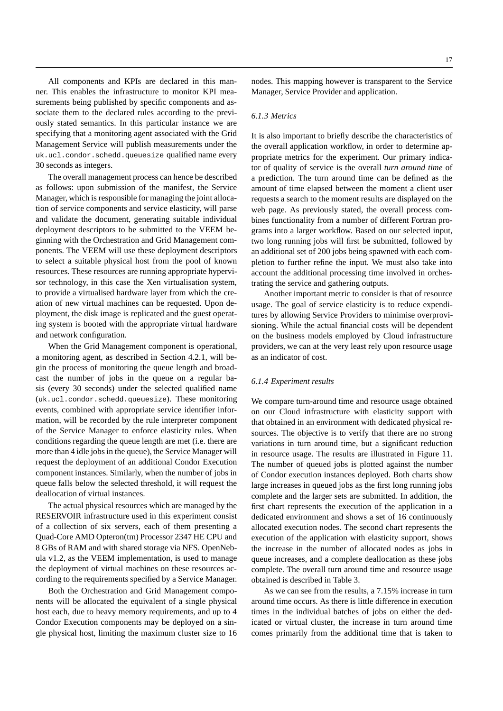All components and KPIs are declared in this manner. This enables the infrastructure to monitor KPI measurements being published by specific components and associate them to the declared rules according to the previously stated semantics. In this particular instance we are specifying that a monitoring agent associated with the Grid Management Service will publish measurements under the uk.ucl.condor.schedd.queuesize qualified name every 30 seconds as integers.

The overall management process can hence be described as follows: upon submission of the manifest, the Service Manager, which is responsible for managing the joint allocation of service components and service elasticity, will parse and validate the document, generating suitable individual deployment descriptors to be submitted to the VEEM beginning with the Orchestration and Grid Management components. The VEEM will use these deployment descriptors to select a suitable physical host from the pool of known resources. These resources are running appropriate hypervisor technology, in this case the Xen virtualisation system, to provide a virtualised hardware layer from which the creation of new virtual machines can be requested. Upon deployment, the disk image is replicated and the guest operating system is booted with the appropriate virtual hardware and network configuration.

When the Grid Management component is operational, a monitoring agent, as described in Section 4.2.1, will begin the process of monitoring the queue length and broadcast the number of jobs in the queue on a regular basis (every 30 seconds) under the selected qualified name (uk.ucl.condor.schedd.queuesize). These monitoring events, combined with appropriate service identifier information, will be recorded by the rule interpreter component of the Service Manager to enforce elasticity rules. When conditions regarding the queue length are met (i.e. there are more than 4 idle jobs in the queue), the Service Manager will request the deployment of an additional Condor Execution component instances. Similarly, when the number of jobs in queue falls below the selected threshold, it will request the deallocation of virtual instances.

The actual physical resources which are managed by the RESERVOIR infrastructure used in this experiment consist of a collection of six servers, each of them presenting a Quad-Core AMD Opteron(tm) Processor 2347 HE CPU and 8 GBs of RAM and with shared storage via NFS. OpenNebula v1.2, as the VEEM implementation, is used to manage the deployment of virtual machines on these resources according to the requirements specified by a Service Manager.

Both the Orchestration and Grid Management components will be allocated the equivalent of a single physical host each, due to heavy memory requirements, and up to 4 Condor Execution components may be deployed on a single physical host, limiting the maximum cluster size to 16 nodes. This mapping however is transparent to the Service Manager, Service Provider and application.

## *6.1.3 Metrics*

It is also important to briefly describe the characteristics of the overall application workflow, in order to determine appropriate metrics for the experiment. Our primary indicator of quality of service is the overall *turn around time* of a prediction. The turn around time can be defined as the amount of time elapsed between the moment a client user requests a search to the moment results are displayed on the web page. As previously stated, the overall process combines functionality from a number of different Fortran programs into a larger workflow. Based on our selected input, two long running jobs will first be submitted, followed by an additional set of 200 jobs being spawned with each completion to further refine the input. We must also take into account the additional processing time involved in orchestrating the service and gathering outputs.

Another important metric to consider is that of resource usage. The goal of service elasticity is to reduce expenditures by allowing Service Providers to minimise overprovisioning. While the actual financial costs will be dependent on the business models employed by Cloud infrastructure providers, we can at the very least rely upon resource usage as an indicator of cost.

## *6.1.4 Experiment results*

We compare turn-around time and resource usage obtained on our Cloud infrastructure with elasticity support with that obtained in an environment with dedicated physical resources. The objective is to verify that there are no strong variations in turn around time, but a significant reduction in resource usage. The results are illustrated in Figure 11. The number of queued jobs is plotted against the number of Condor execution instances deployed. Both charts show large increases in queued jobs as the first long running jobs complete and the larger sets are submitted. In addition, the first chart represents the execution of the application in a dedicated environment and shows a set of 16 continuously allocated execution nodes. The second chart represents the execution of the application with elasticity support, shows the increase in the number of allocated nodes as jobs in queue increases, and a complete deallocation as these jobs complete. The overall turn around time and resource usage obtained is described in Table 3.

As we can see from the results, a 7.15% increase in turn around time occurs. As there is little difference in execution times in the individual batches of jobs on either the dedicated or virtual cluster, the increase in turn around time comes primarily from the additional time that is taken to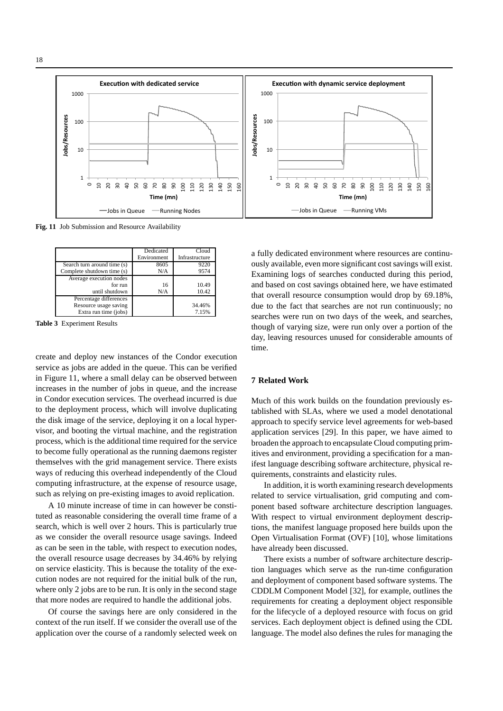

Fig. 11 Job Submission and Resource Availability

|                             | Dedicated   | Cloud          |
|-----------------------------|-------------|----------------|
|                             | Environment | Infrastructure |
| Search turn around time (s) | 8605        | 9220           |
| Complete shutdown time (s)  | N/A         | 9574           |
| Average execution nodes     |             |                |
| for run                     | 16          | 10.49          |
| until shutdown              | N/A         | 10.42          |
| Percentage differences      |             |                |
| Resource usage saving       |             | 34.46%         |
| Extra run time (jobs)       |             | 7.15%          |

**Table 3** Experiment Results

create and deploy new instances of the Condor execution service as jobs are added in the queue. This can be verified in Figure 11, where a small delay can be observed between increases in the number of jobs in queue, and the increase in Condor execution services. The overhead incurred is due to the deployment process, which will involve duplicating the disk image of the service, deploying it on a local hypervisor, and booting the virtual machine, and the registration process, which is the additional time required for the service to become fully operational as the running daemons register themselves with the grid management service. There exists ways of reducing this overhead independently of the Cloud computing infrastructure, at the expense of resource usage, such as relying on pre-existing images to avoid replication.

A 10 minute increase of time in can however be constituted as reasonable considering the overall time frame of a search, which is well over 2 hours. This is particularly true as we consider the overall resource usage savings. Indeed as can be seen in the table, with respect to execution nodes, the overall resource usage decreases by 34.46% by relying on service elasticity. This is because the totality of the execution nodes are not required for the initial bulk of the run, where only 2 jobs are to be run. It is only in the second stage that more nodes are required to handle the additional jobs.

Of course the savings here are only considered in the context of the run itself. If we consider the overall use of the application over the course of a randomly selected week on a fully dedicated environment where resources are continuously available, even more significant cost savings will exist. Examining logs of searches conducted during this period, and based on cost savings obtained here, we have estimated that overall resource consumption would drop by 69.18%, due to the fact that searches are not run continuously; no searches were run on two days of the week, and searches, though of varying size, were run only over a portion of the day, leaving resources unused for considerable amounts of time.

# **7 Related Work**

Much of this work builds on the foundation previously established with SLAs, where we used a model denotational approach to specify service level agreements for web-based application services [29]. In this paper, we have aimed to broaden the approach to encapsulate Cloud computing primitives and environment, providing a specification for a manifest language describing software architecture, physical requirements, constraints and elasticity rules.

In addition, it is worth examining research developments related to service virtualisation, grid computing and component based software architecture description languages. With respect to virtual environment deployment descriptions, the manifest language proposed here builds upon the Open Virtualisation Format (OVF) [10], whose limitations have already been discussed.

There exists a number of software architecture description languages which serve as the run-time configuration and deployment of component based software systems. The CDDLM Component Model [32], for example, outlines the requirements for creating a deployment object responsible for the lifecycle of a deployed resource with focus on grid services. Each deployment object is defined using the CDL language. The model also defines the rules for managing the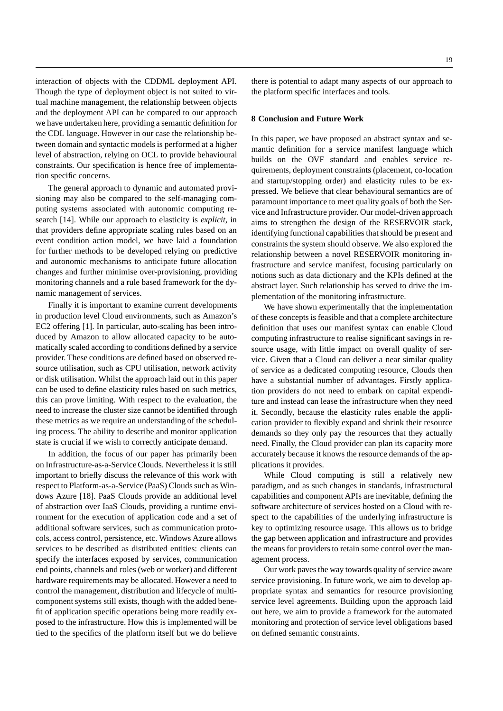interaction of objects with the CDDML deployment API. Though the type of deployment object is not suited to virtual machine management, the relationship between objects and the deployment API can be compared to our approach we have undertaken here, providing a semantic definition for the CDL language. However in our case the relationship between domain and syntactic models is performed at a higher level of abstraction, relying on OCL to provide behavioural constraints. Our specification is hence free of implementation specific concerns.

The general approach to dynamic and automated provisioning may also be compared to the self-managing computing systems associated with autonomic computing research [14]. While our approach to elasticity is *explicit*, in that providers define appropriate scaling rules based on an event condition action model, we have laid a foundation for further methods to be developed relying on predictive and autonomic mechanisms to anticipate future allocation changes and further minimise over-provisioning, providing monitoring channels and a rule based framework for the dynamic management of services.

Finally it is important to examine current developments in production level Cloud environments, such as Amazon's EC2 offering [1]. In particular, auto-scaling has been introduced by Amazon to allow allocated capacity to be automatically scaled according to conditions defined by a service provider. These conditions are defined based on observed resource utilisation, such as CPU utilisation, network activity or disk utilisation. Whilst the approach laid out in this paper can be used to define elasticity rules based on such metrics, this can prove limiting. With respect to the evaluation, the need to increase the cluster size cannot be identified through these metrics as we require an understanding of the scheduling process. The ability to describe and monitor application state is crucial if we wish to correctly anticipate demand.

In addition, the focus of our paper has primarily been on Infrastructure-as-a-Service Clouds. Nevertheless it is still important to briefly discuss the relevance of this work with respect to Platform-as-a-Service (PaaS) Clouds such as Windows Azure [18]. PaaS Clouds provide an additional level of abstraction over IaaS Clouds, providing a runtime environment for the execution of application code and a set of additional software services, such as communication protocols, access control, persistence, etc. Windows Azure allows services to be described as distributed entities: clients can specify the interfaces exposed by services, communication end points, channels and roles (web or worker) and different hardware requirements may be allocated. However a need to control the management, distribution and lifecycle of multicomponent systems still exists, though with the added benefit of application specific operations being more readily exposed to the infrastructure. How this is implemented will be tied to the specifics of the platform itself but we do believe

there is potential to adapt many aspects of our approach to the platform specific interfaces and tools.

## **8 Conclusion and Future Work**

In this paper, we have proposed an abstract syntax and semantic definition for a service manifest language which builds on the OVF standard and enables service requirements, deployment constraints (placement, co-location and startup/stopping order) and elasticity rules to be expressed. We believe that clear behavioural semantics are of paramount importance to meet quality goals of both the Service and Infrastructure provider. Our model-driven approach aims to strengthen the design of the RESERVOIR stack, identifying functional capabilities that should be present and constraints the system should observe. We also explored the relationship between a novel RESERVOIR monitoring infrastructure and service manifest, focusing particularly on notions such as data dictionary and the KPIs defined at the abstract layer. Such relationship has served to drive the implementation of the monitoring infrastructure.

We have shown experimentally that the implementation of these concepts is feasible and that a complete architecture definition that uses our manifest syntax can enable Cloud computing infrastructure to realise significant savings in resource usage, with little impact on overall quality of service. Given that a Cloud can deliver a near similar quality of service as a dedicated computing resource, Clouds then have a substantial number of advantages. Firstly application providers do not need to embark on capital expenditure and instead can lease the infrastructure when they need it. Secondly, because the elasticity rules enable the application provider to flexibly expand and shrink their resource demands so they only pay the resources that they actually need. Finally, the Cloud provider can plan its capacity more accurately because it knows the resource demands of the applications it provides.

While Cloud computing is still a relatively new paradigm, and as such changes in standards, infrastructural capabilities and component APIs are inevitable, defining the software architecture of services hosted on a Cloud with respect to the capabilities of the underlying infrastructure is key to optimizing resource usage. This allows us to bridge the gap between application and infrastructure and provides the means for providers to retain some control over the management process.

Our work paves the way towards quality of service aware service provisioning. In future work, we aim to develop appropriate syntax and semantics for resource provisioning service level agreements. Building upon the approach laid out here, we aim to provide a framework for the automated monitoring and protection of service level obligations based on defined semantic constraints.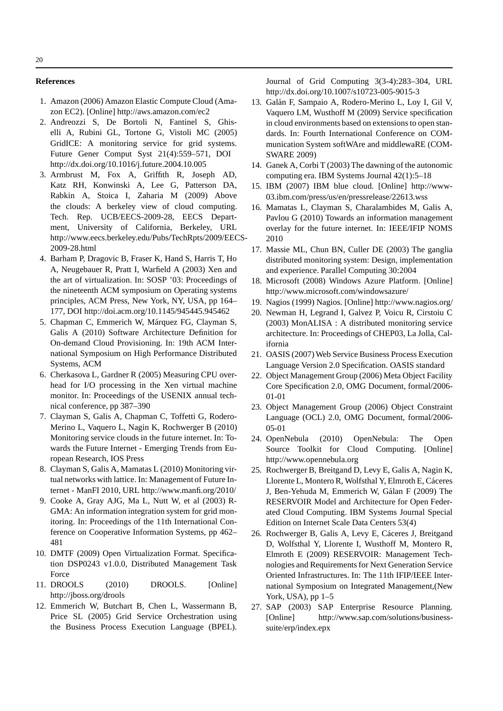## **References**

- 1. Amazon (2006) Amazon Elastic Compute Cloud (Amazon EC2). [Online] http://aws.amazon.com/ec2
- 2. Andreozzi S, De Bortoli N, Fantinel S, Ghiselli A, Rubini GL, Tortone G, Vistoli MC (2005) GridICE: A monitoring service for grid systems. Future Gener Comput Syst 21(4):559–571, DOI http://dx.doi.org/10.1016/j.future.2004.10.005
- 3. Armbrust M, Fox A, Griffith R, Joseph AD, Katz RH, Konwinski A, Lee G, Patterson DA, Rabkin A, Stoica I, Zaharia M (2009) Above the clouds: A berkeley view of cloud computing. Tech. Rep. UCB/EECS-2009-28, EECS Department, University of California, Berkeley, URL http://www.eecs.berkeley.edu/Pubs/TechRpts/2009/EECS-2009-28.html
- 4. Barham P, Dragovic B, Fraser K, Hand S, Harris T, Ho A, Neugebauer R, Pratt I, Warfield A (2003) Xen and the art of virtualization. In: SOSP '03: Proceedings of the nineteenth ACM symposium on Operating systems principles, ACM Press, New York, NY, USA, pp 164– 177, DOI http://doi.acm.org/10.1145/945445.945462
- 5. Chapman C, Emmerich W, Márquez FG, Clayman S, Galis A (2010) Software Architecture Definition for On-demand Cloud Provisioning. In: 19th ACM International Symposium on High Performance Distributed Systems, ACM
- 6. Cherkasova L, Gardner R (2005) Measuring CPU overhead for I/O processing in the Xen virtual machine monitor. In: Proceedings of the USENIX annual technical conference, pp 387–390
- 7. Clayman S, Galis A, Chapman C, Toffetti G, Rodero-Merino L, Vaquero L, Nagin K, Rochwerger B (2010) Monitoring service clouds in the future internet. In: Towards the Future Internet - Emerging Trends from European Research, IOS Press
- 8. Clayman S, Galis A, Mamatas L (2010) Monitoring virtual networks with lattice. In: Management of Future Internet - ManFI 2010, URL http://www.manfi.org/2010/
- 9. Cooke A, Gray AJG, Ma L, Nutt W, et al (2003) R-GMA: An information integration system for grid monitoring. In: Proceedings of the 11th International Conference on Cooperative Information Systems, pp 462– 481
- 10. DMTF (2009) Open Virtualization Format. Specification DSP0243 v1.0.0, Distributed Management Task Force
- 11. DROOLS (2010) DROOLS. [Online] http://jboss.org/drools
- 12. Emmerich W, Butchart B, Chen L, Wassermann B, Price SL (2005) Grid Service Orchestration using the Business Process Execution Language (BPEL).

Journal of Grid Computing 3(3-4):283–304, URL http://dx.doi.org/10.1007/s10723-005-9015-3

- 13. Galán F, Sampaio A, Rodero-Merino L, Loy I, Gil V, Vaquero LM, Wusthoff M (2009) Service specification in cloud environments based on extensions to open standards. In: Fourth International Conference on COMmunication System softWAre and middlewaRE (COM-SWARE 2009)
- 14. Ganek A, Corbi T (2003) The dawning of the autonomic computing era. IBM Systems Journal 42(1):5–18
- 15. IBM (2007) IBM blue cloud. [Online] http://www-03.ibm.com/press/us/en/pressrelease/22613.wss
- 16. Mamatas L, Clayman S, Charalambides M, Galis A, Pavlou G (2010) Towards an information management overlay for the future internet. In: IEEE/IFIP NOMS 2010
- 17. Massie ML, Chun BN, Culler DE (2003) The ganglia distributed monitoring system: Design, implementation and experience. Parallel Computing 30:2004
- 18. Microsoft (2008) Windows Azure Platform. [Online] http://www.microsoft.com/windowsazure/
- 19. Nagios (1999) Nagios. [Online] http://www.nagios.org/
- 20. Newman H, Legrand I, Galvez P, Voicu R, Cirstoiu C (2003) MonALISA : A distributed monitoring service architecture. In: Proceedings of CHEP03, La Jolla, California
- 21. OASIS (2007) Web Service Business Process Execution Language Version 2.0 Specification. OASIS standard
- 22. Object Management Group (2006) Meta Object Facility Core Specification 2.0, OMG Document, formal/2006- 01-01
- 23. Object Management Group (2006) Object Constraint Language (OCL) 2.0, OMG Document, formal/2006- 05-01
- 24. OpenNebula (2010) OpenNebula: The Open Source Toolkit for Cloud Computing. [Online] http://www.opennebula.org
- 25. Rochwerger B, Breitgand D, Levy E, Galis A, Nagin K, Llorente L, Montero R, Wolfsthal Y, Elmroth E, Cáceres J, Ben-Yehuda M, Emmerich W, Gálan F (2009) The RESERVOIR Model and Architecture for Open Federated Cloud Computing. IBM Systems Journal Special Edition on Internet Scale Data Centers 53(4)
- 26. Rochwerger B, Galis A, Levy E, Cáceres J, Breitgand D, Wolfsthal Y, Llorente I, Wusthoff M, Montero R, Elmroth E (2009) RESERVOIR: Management Technologies and Requirements for Next Generation Service Oriented Infrastructures. In: The 11th IFIP/IEEE International Symposium on Integrated Management,(New York, USA), pp  $1-5$
- 27. SAP (2003) SAP Enterprise Resource Planning. [Online] http://www.sap.com/solutions/businesssuite/erp/index.epx